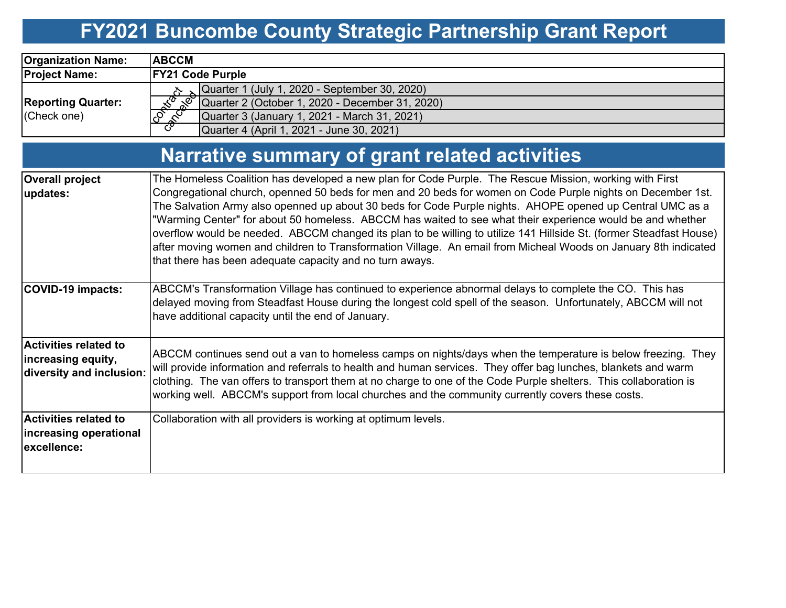# **FY2021 Buncombe County Strategic Partnership Grant Report**

| <b>Organization Name:</b>                                                      | <b>ABCCM</b>                                                                                                                                                                                                                                                                                                                                                                                                                                                                                                                                                                                                                                                                                                                                            |  |  |  |  |  |
|--------------------------------------------------------------------------------|---------------------------------------------------------------------------------------------------------------------------------------------------------------------------------------------------------------------------------------------------------------------------------------------------------------------------------------------------------------------------------------------------------------------------------------------------------------------------------------------------------------------------------------------------------------------------------------------------------------------------------------------------------------------------------------------------------------------------------------------------------|--|--|--|--|--|
| <b>Project Name:</b>                                                           | <b>FY21 Code Purple</b>                                                                                                                                                                                                                                                                                                                                                                                                                                                                                                                                                                                                                                                                                                                                 |  |  |  |  |  |
| <b>Reporting Quarter:</b><br>(Check one)                                       | Quarter 1 (July 1, 2020 - September 30, 2020)<br>Eonico H<br><b>Red</b><br>Quarter 2 (October 1, 2020 - December 31, 2020)<br><b>PARTY</b><br>Quarter 3 (January 1, 2021 - March 31, 2021)<br>Quarter 4 (April 1, 2021 - June 30, 2021)                                                                                                                                                                                                                                                                                                                                                                                                                                                                                                                 |  |  |  |  |  |
| Narrative summary of grant related activities                                  |                                                                                                                                                                                                                                                                                                                                                                                                                                                                                                                                                                                                                                                                                                                                                         |  |  |  |  |  |
| <b>Overall project</b><br>updates:                                             | The Homeless Coalition has developed a new plan for Code Purple. The Rescue Mission, working with First<br>Congregational church, openned 50 beds for men and 20 beds for women on Code Purple nights on December 1st.<br>The Salvation Army also openned up about 30 beds for Code Purple nights. AHOPE opened up Central UMC as a<br>"Warming Center" for about 50 homeless. ABCCM has waited to see what their experience would be and whether<br>overflow would be needed. ABCCM changed its plan to be willing to utilize 141 Hillside St. (former Steadfast House)<br>after moving women and children to Transformation Village. An email from Micheal Woods on January 8th indicated<br>that there has been adequate capacity and no turn aways. |  |  |  |  |  |
| <b>COVID-19 impacts:</b>                                                       | ABCCM's Transformation Village has continued to experience abnormal delays to complete the CO. This has<br>delayed moving from Steadfast House during the longest cold spell of the season. Unfortunately, ABCCM will not<br>have additional capacity until the end of January.                                                                                                                                                                                                                                                                                                                                                                                                                                                                         |  |  |  |  |  |
| <b>Activities related to</b><br>increasing equity,<br>diversity and inclusion: | ABCCM continues send out a van to homeless camps on nights/days when the temperature is below freezing. They<br>will provide information and referrals to health and human services. They offer bag lunches, blankets and warm<br>clothing. The van offers to transport them at no charge to one of the Code Purple shelters. This collaboration is<br>working well. ABCCM's support from local churches and the community currently covers these costs.                                                                                                                                                                                                                                                                                                |  |  |  |  |  |
| <b>Activities related to</b><br>increasing operational<br>excellence:          | Collaboration with all providers is working at optimum levels.                                                                                                                                                                                                                                                                                                                                                                                                                                                                                                                                                                                                                                                                                          |  |  |  |  |  |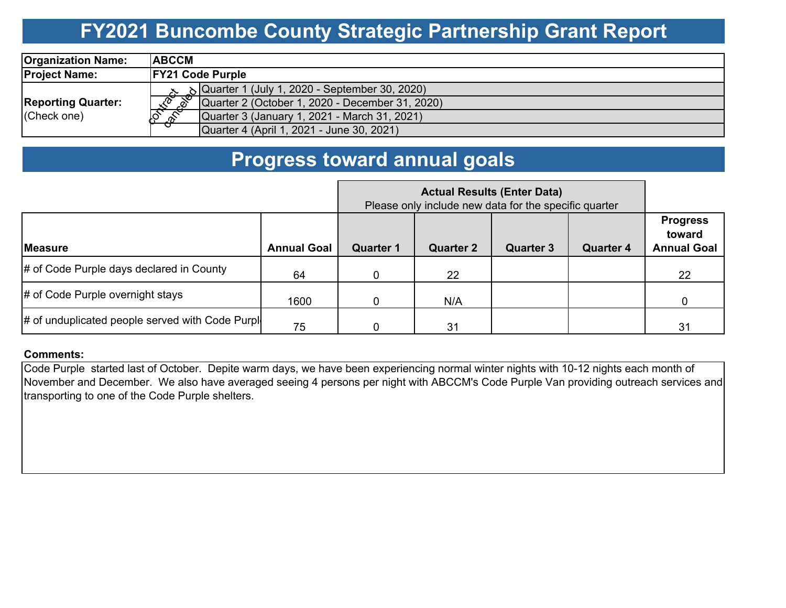### **FY2021 Buncombe County Strategic Partnership Grant Report**

| <b>Organization Name:</b>                | <b>ABCCM</b>                                                                     |  |  |  |  |
|------------------------------------------|----------------------------------------------------------------------------------|--|--|--|--|
| <b>Project Name:</b>                     | <b>FY21 Code Purple</b>                                                          |  |  |  |  |
|                                          | $\sim$ 8  Quarter 1 (July 1, 2020 - September 30, 2020)                          |  |  |  |  |
| <b>Reporting Quarter:</b><br>(Check one) | $\sqrt{x^2}$ $\sqrt{x^3}$ Quarter 2 (October 1, 2020 - December 31, 2020)        |  |  |  |  |
|                                          | 10 <sub>2</sub><br>$\mathscr{E}$<br>Quarter 3 (January 1, 2021 - March 31, 2021) |  |  |  |  |
|                                          | ╼ᢦ<br>Quarter 4 (April 1, 2021 - June 30, 2021)                                  |  |  |  |  |

### **Progress toward annual goals**

|                                                  | Please only include new data for the specific quarter |                  |                  |                  |                  |                                                 |
|--------------------------------------------------|-------------------------------------------------------|------------------|------------------|------------------|------------------|-------------------------------------------------|
| <b>IMeasure</b>                                  | <b>Annual Goal</b>                                    | <b>Quarter 1</b> | <b>Quarter 2</b> | <b>Quarter 3</b> | <b>Quarter 4</b> | <b>Progress</b><br>toward<br><b>Annual Goal</b> |
| # of Code Purple days declared in County         | 64                                                    | $\Omega$         | 22               |                  |                  | 22                                              |
| # of Code Purple overnight stays                 | 1600                                                  | $\Omega$         | N/A              |                  |                  |                                                 |
| # of unduplicated people served with Code Purple | 75                                                    |                  | 31               |                  |                  | 31                                              |

#### **Comments:**

Code Purple started last of October. Depite warm days, we have been experiencing normal winter nights with 10-12 nights each month of November and December. We also have averaged seeing 4 persons per night with ABCCM's Code Purple Van providing outreach services and transporting to one of the Code Purple shelters.